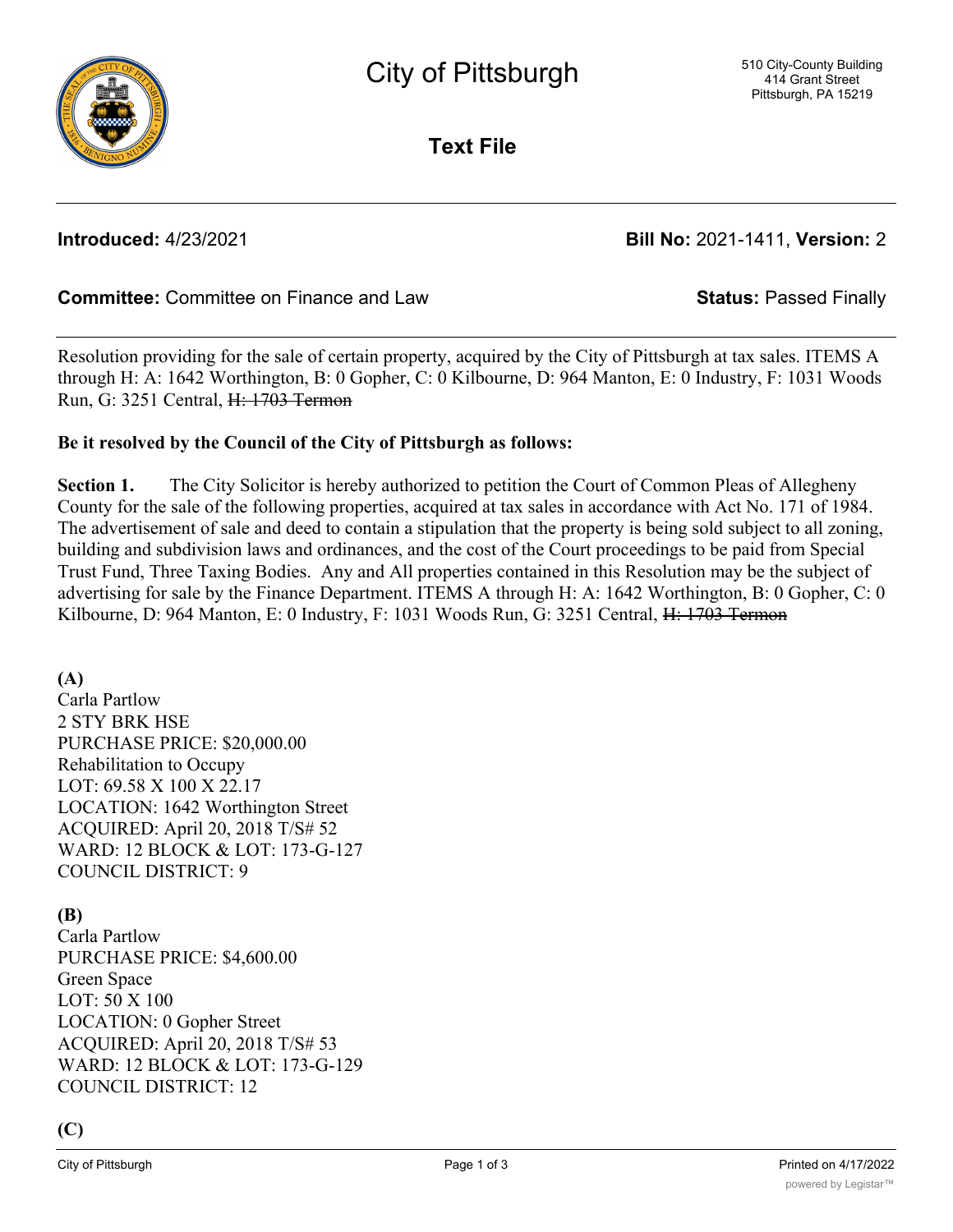

**Text File**

**Introduced:** 4/23/2021 **Bill No:** 2021-1411, **Version:** 2

# **Committee:** Committee on Finance and Law **Status:** Passed Finally

Resolution providing for the sale of certain property, acquired by the City of Pittsburgh at tax sales. ITEMS A through H: A: 1642 Worthington, B: 0 Gopher, C: 0 Kilbourne, D: 964 Manton, E: 0 Industry, F: 1031 Woods Run, G: 3251 Central, H: 1703 Termon

# **Be it resolved by the Council of the City of Pittsburgh as follows:**

**Section 1.** The City Solicitor is hereby authorized to petition the Court of Common Pleas of Allegheny County for the sale of the following properties, acquired at tax sales in accordance with Act No. 171 of 1984. The advertisement of sale and deed to contain a stipulation that the property is being sold subject to all zoning, building and subdivision laws and ordinances, and the cost of the Court proceedings to be paid from Special Trust Fund, Three Taxing Bodies. Any and All properties contained in this Resolution may be the subject of advertising for sale by the Finance Department. ITEMS A through H: A: 1642 Worthington, B: 0 Gopher, C: 0 Kilbourne, D: 964 Manton, E: 0 Industry, F: 1031 Woods Run, G: 3251 Central, H: 1703 Termon

# **(A)**

Carla Partlow 2 STY BRK HSE PURCHASE PRICE: \$20,000.00 Rehabilitation to Occupy LOT: 69.58 X 100 X 22.17 LOCATION: 1642 Worthington Street ACQUIRED: April 20, 2018 T/S# 52 WARD: 12 BLOCK & LOT: 173-G-127 COUNCIL DISTRICT: 9

# **(B)**

Carla Partlow PURCHASE PRICE: \$4,600.00 Green Space LOT: 50 X 100 LOCATION: 0 Gopher Street ACQUIRED: April 20, 2018 T/S# 53 WARD: 12 BLOCK & LOT: 173-G-129 COUNCIL DISTRICT: 12

# **(C)**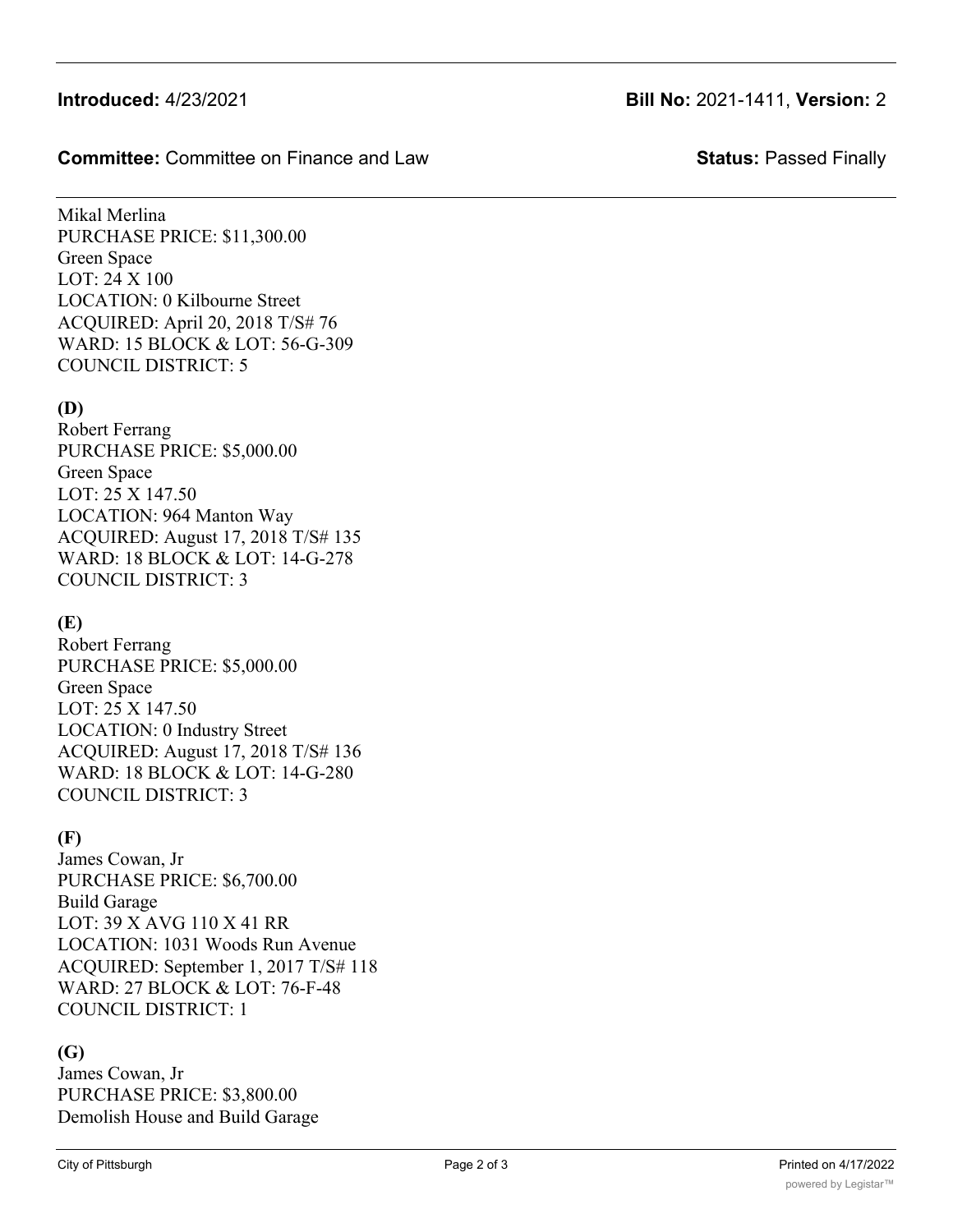# **Introduced:** 4/23/2021 **Bill No:** 2021-1411, **Version:** 2

### **Committee:** Committee on Finance and Law **Status:** Passed Finally

Mikal Merlina PURCHASE PRICE: \$11,300.00 Green Space LOT: 24 X 100 LOCATION: 0 Kilbourne Street ACQUIRED: April 20, 2018 T/S# 76 WARD: 15 BLOCK & LOT: 56-G-309 COUNCIL DISTRICT: 5

# **(D)**

Robert Ferrang PURCHASE PRICE: \$5,000.00 Green Space LOT: 25 X 147.50 LOCATION: 964 Manton Way ACQUIRED: August 17, 2018 T/S# 135 WARD: 18 BLOCK & LOT: 14-G-278 COUNCIL DISTRICT: 3

# **(E)**

Robert Ferrang PURCHASE PRICE: \$5,000.00 Green Space LOT: 25 X 147.50 LOCATION: 0 Industry Street ACQUIRED: August 17, 2018 T/S# 136 WARD: 18 BLOCK & LOT: 14-G-280 COUNCIL DISTRICT: 3

# **(F)**

James Cowan, Jr PURCHASE PRICE: \$6,700.00 Build Garage LOT: 39 X AVG 110 X 41 RR LOCATION: 1031 Woods Run Avenue ACQUIRED: September 1, 2017 T/S# 118 WARD: 27 BLOCK & LOT: 76-F-48 COUNCIL DISTRICT: 1

# **(G)**

James Cowan, Jr PURCHASE PRICE: \$3,800.00 Demolish House and Build Garage